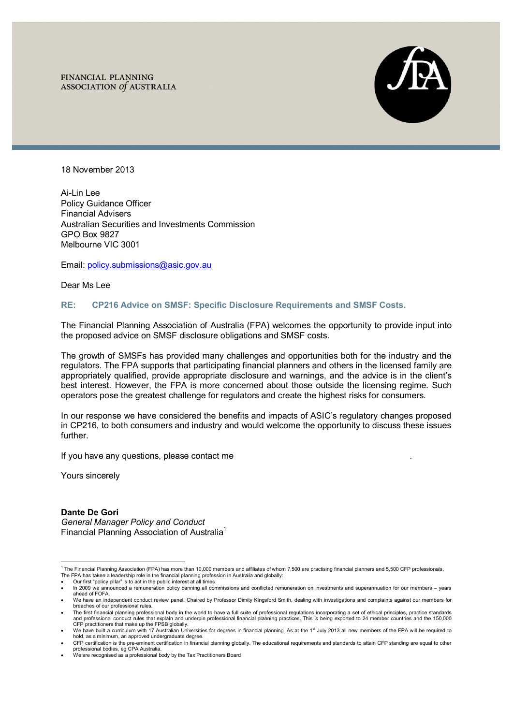FINANCIAL PLANNING ASSOCIATION of AUSTRALIA



18 November 2013

Ai-Lin Lee Policy Guidance Officer Financial Advisers Australian Securities and Investments Commission GPO Box 9827 Melbourne VIC 3001

Email: policy.submissions@asic.gov.au

Dear Ms Lee

### **RE: CP216 Advice on SMSF: Specific Disclosure Requirements and SMSF Costs.**

The Financial Planning Association of Australia (FPA) welcomes the opportunity to provide input into the proposed advice on SMSF disclosure obligations and SMSF costs.

The growth of SMSFs has provided many challenges and opportunities both for the industry and the regulators. The FPA supports that participating financial planners and others in the licensed family are appropriately qualified, provide appropriate disclosure and warnings, and the advice is in the client's best interest. However, the FPA is more concerned about those outside the licensing regime. Such operators pose the greatest challenge for regulators and create the highest risks for consumers.

In our response we have considered the benefits and impacts of ASIC's regulatory changes proposed in CP216, to both consumers and industry and would welcome the opportunity to discuss these issues further.

If you have any questions, please contact me

Yours sincerely

### **Dante De Gori**

*General Manager Policy and Conduct*  Financial Planning Association of Australia<sup>1</sup>

 1 The Financial Planning Association (FPA) has more than 10,000 members and affiliates of whom 7,500 are practising financial planners and 5,500 CFP professionals. The FPA has taken a leadership role in the financial planning profession in Australia and globally:

Our first "policy pillar" is to act in the public interest at all times.

In 2009 we announced a remuneration policy banning all commissions and conflicted remuneration on investments and superannuation for our members – years ahead of FOFA. We have an independent conduct review panel, Chaired by Professor Dimity Kingsford Smith, dealing with investigations and complaints against our members for

breaches of our professional rules.

The first financial planning professional body in the world to have a full suite of professional regulations incorporating a set of ethical principles, practice standards<br>and professional conduct rules that explain and und

<sup>•</sup> We have built a curriculum with 17 Australian Universities for degrees in financial planning. As at the 1<sup>st</sup> July 2013 all new members of the FPA will be required to hold, as a minimum, an approved undergraduate degree CFP certification is the pre-eminent certification in financial planning globally. The educational requirements and standards to attain CFP standing are equal to other

professional bodies, eg CPA Australia.

We are recognised as a professional body by the Tax Practitioners Board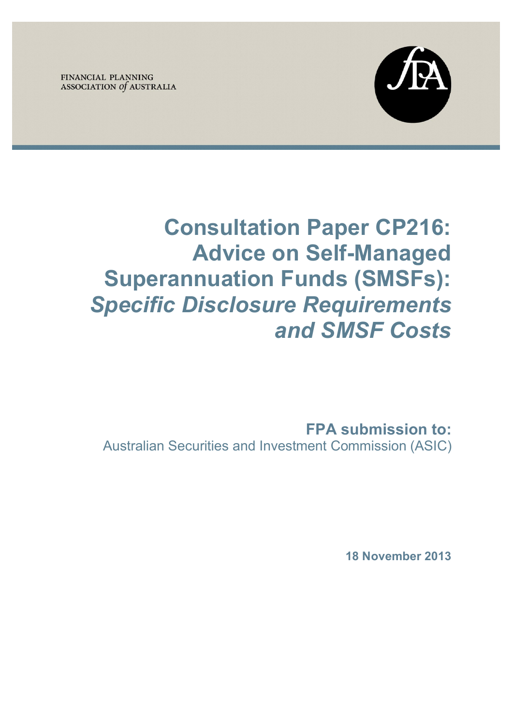FINANCIAL PLANNING ASSOCIATION of AUSTRALIA



## **Consultation Paper CP216: Advice on Self-Managed Superannuation Funds (SMSFs):**  *Specific Disclosure Requirements and SMSF Costs*

**FPA submission to:**  Australian Securities and Investment Commission (ASIC)

**18 November 2013**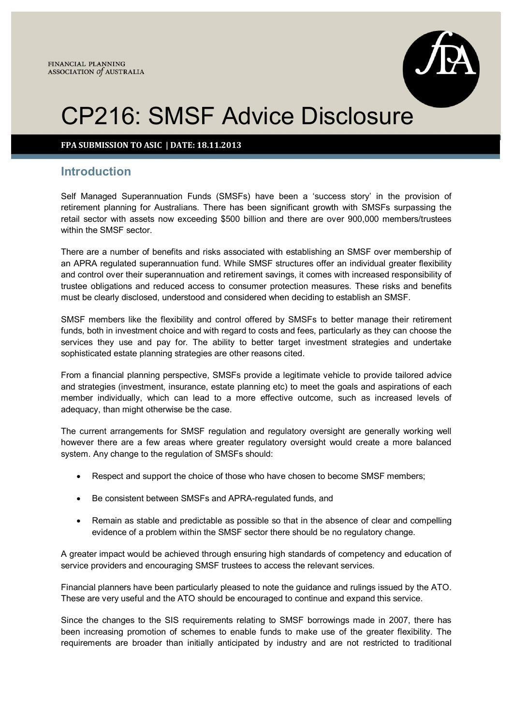

**FPA SUBMISSION TO ASIC | DATE: 18.11.2013**

## **Introduction**

Self Managed Superannuation Funds (SMSFs) have been a 'success story' in the provision of retirement planning for Australians. There has been significant growth with SMSFs surpassing the retail sector with assets now exceeding \$500 billion and there are over 900,000 members/trustees within the SMSF sector.

There are a number of benefits and risks associated with establishing an SMSF over membership of an APRA regulated superannuation fund. While SMSF structures offer an individual greater flexibility and control over their superannuation and retirement savings, it comes with increased responsibility of trustee obligations and reduced access to consumer protection measures. These risks and benefits must be clearly disclosed, understood and considered when deciding to establish an SMSF.

SMSF members like the flexibility and control offered by SMSFs to better manage their retirement funds, both in investment choice and with regard to costs and fees, particularly as they can choose the services they use and pay for. The ability to better target investment strategies and undertake sophisticated estate planning strategies are other reasons cited.

From a financial planning perspective, SMSFs provide a legitimate vehicle to provide tailored advice and strategies (investment, insurance, estate planning etc) to meet the goals and aspirations of each member individually, which can lead to a more effective outcome, such as increased levels of adequacy, than might otherwise be the case.

The current arrangements for SMSF regulation and regulatory oversight are generally working well however there are a few areas where greater regulatory oversight would create a more balanced system. Any change to the regulation of SMSFs should:

- Respect and support the choice of those who have chosen to become SMSF members;
- Be consistent between SMSFs and APRA-regulated funds, and
- Remain as stable and predictable as possible so that in the absence of clear and compelling evidence of a problem within the SMSF sector there should be no regulatory change.

A greater impact would be achieved through ensuring high standards of competency and education of service providers and encouraging SMSF trustees to access the relevant services.

Financial planners have been particularly pleased to note the guidance and rulings issued by the ATO. These are very useful and the ATO should be encouraged to continue and expand this service.

Since the changes to the SIS requirements relating to SMSF borrowings made in 2007, there has been increasing promotion of schemes to enable funds to make use of the greater flexibility. The requirements are broader than initially anticipated by industry and are not restricted to traditional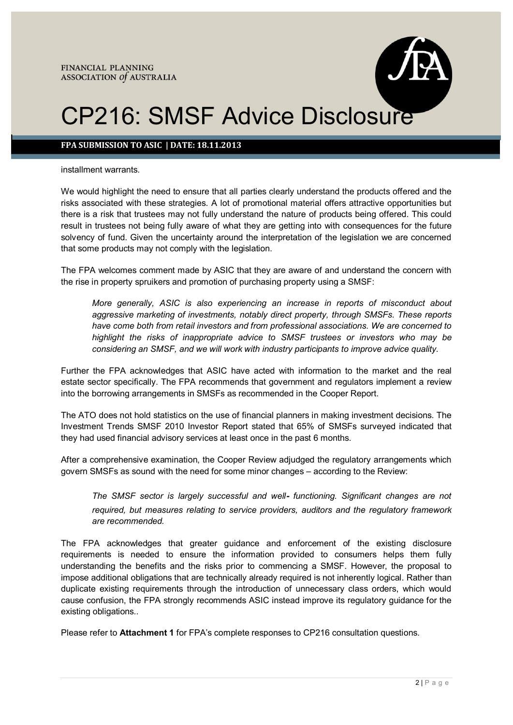

## **FPA SUBMISSION TO ASIC | DATE: 18.11.2013**

installment warrants.

We would highlight the need to ensure that all parties clearly understand the products offered and the risks associated with these strategies. A lot of promotional material offers attractive opportunities but there is a risk that trustees may not fully understand the nature of products being offered. This could result in trustees not being fully aware of what they are getting into with consequences for the future solvency of fund. Given the uncertainty around the interpretation of the legislation we are concerned that some products may not comply with the legislation.

The FPA welcomes comment made by ASIC that they are aware of and understand the concern with the rise in property spruikers and promotion of purchasing property using a SMSF:

*More generally, ASIC is also experiencing an increase in reports of misconduct about aggressive marketing of investments, notably direct property, through SMSFs. These reports have come both from retail investors and from professional associations. We are concerned to highlight the risks of inappropriate advice to SMSF trustees or investors who may be considering an SMSF, and we will work with industry participants to improve advice quality.* 

Further the FPA acknowledges that ASIC have acted with information to the market and the real estate sector specifically. The FPA recommends that government and regulators implement a review into the borrowing arrangements in SMSFs as recommended in the Cooper Report.

The ATO does not hold statistics on the use of financial planners in making investment decisions. The Investment Trends SMSF 2010 Investor Report stated that 65% of SMSFs surveyed indicated that they had used financial advisory services at least once in the past 6 months.

After a comprehensive examination, the Cooper Review adjudged the regulatory arrangements which govern SMSFs as sound with the need for some minor changes – according to the Review:

*The SMSF sector is largely successful and well*‐ *functioning. Significant changes are not required, but measures relating to service providers, auditors and the regulatory framework are recommended.* 

The FPA acknowledges that greater guidance and enforcement of the existing disclosure requirements is needed to ensure the information provided to consumers helps them fully understanding the benefits and the risks prior to commencing a SMSF. However, the proposal to impose additional obligations that are technically already required is not inherently logical. Rather than duplicate existing requirements through the introduction of unnecessary class orders, which would cause confusion, the FPA strongly recommends ASIC instead improve its regulatory guidance for the existing obligations..

Please refer to **Attachment 1** for FPA's complete responses to CP216 consultation questions.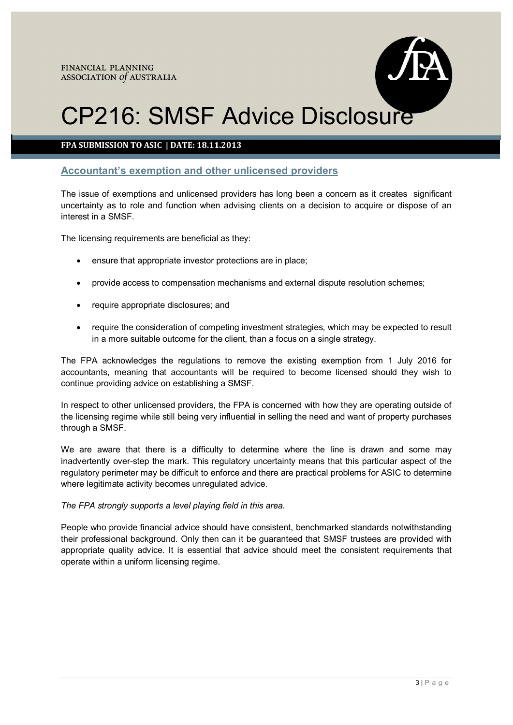

## **FPA SUBMISSION TO ASIC | DATE: 18.11.2013**

## **Accountant's exemption and other unlicensed providers**

The issue of exemptions and unlicensed providers has long been a concern as it creates significant uncertainty as to role and function when advising clients on a decision to acquire or dispose of an interest in a SMSF.

The licensing requirements are beneficial as they:

- ensure that appropriate investor protections are in place;
- provide access to compensation mechanisms and external dispute resolution schemes;
- require appropriate disclosures; and
- require the consideration of competing investment strategies, which may be expected to result in a more suitable outcome for the client, than a focus on a single strategy.

The FPA acknowledges the regulations to remove the existing exemption from 1 July 2016 for accountants, meaning that accountants will be required to become licensed should they wish to continue providing advice on establishing a SMSF.

In respect to other unlicensed providers, the FPA is concerned with how they are operating outside of the licensing regime while still being very influential in selling the need and want of property purchases through a SMSF.

We are aware that there is a difficulty to determine where the line is drawn and some may inadvertently over-step the mark. This regulatory uncertainty means that this particular aspect of the regulatory perimeter may be difficult to enforce and there are practical problems for ASIC to determine where legitimate activity becomes unregulated advice.

*The FPA strongly supports a level playing field in this area.* 

People who provide financial advice should have consistent, benchmarked standards notwithstanding their professional background. Only then can it be guaranteed that SMSF trustees are provided with appropriate quality advice. It is essential that advice should meet the consistent requirements that operate within a uniform licensing regime.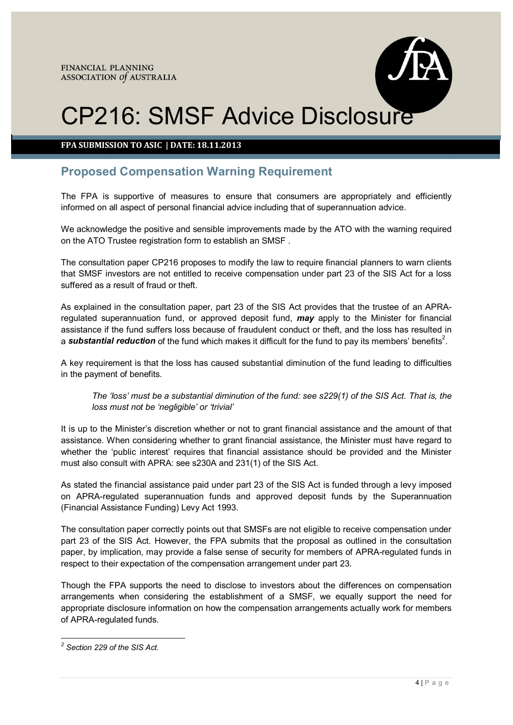

## **FPA SUBMISSION TO ASIC | DATE: 18.11.2013**

## **Proposed Compensation Warning Requirement**

The FPA is supportive of measures to ensure that consumers are appropriately and efficiently informed on all aspect of personal financial advice including that of superannuation advice.

We acknowledge the positive and sensible improvements made by the ATO with the warning required on the ATO Trustee registration form to establish an SMSF .

The consultation paper CP216 proposes to modify the law to require financial planners to warn clients that SMSF investors are not entitled to receive compensation under part 23 of the SIS Act for a loss suffered as a result of fraud or theft.

As explained in the consultation paper, part 23 of the SIS Act provides that the trustee of an APRAregulated superannuation fund, or approved deposit fund, *may* apply to the Minister for financial assistance if the fund suffers loss because of fraudulent conduct or theft, and the loss has resulted in a **substantial reduction** of the fund which makes it difficult for the fund to pay its members' benefits<sup>2</sup>.

A key requirement is that the loss has caused substantial diminution of the fund leading to difficulties in the payment of benefits.

*The 'loss' must be a substantial diminution of the fund: see s229(1) of the SIS Act. That is, the loss must not be 'negligible' or 'trivial'* 

It is up to the Minister's discretion whether or not to grant financial assistance and the amount of that assistance. When considering whether to grant financial assistance, the Minister must have regard to whether the 'public interest' requires that financial assistance should be provided and the Minister must also consult with APRA: see s230A and 231(1) of the SIS Act.

As stated the financial assistance paid under part 23 of the SIS Act is funded through a levy imposed on APRA-regulated superannuation funds and approved deposit funds by the Superannuation (Financial Assistance Funding) Levy Act 1993.

The consultation paper correctly points out that SMSFs are not eligible to receive compensation under part 23 of the SIS Act. However, the FPA submits that the proposal as outlined in the consultation paper, by implication, may provide a false sense of security for members of APRA-regulated funds in respect to their expectation of the compensation arrangement under part 23.

Though the FPA supports the need to disclose to investors about the differences on compensation arrangements when considering the establishment of a SMSF, we equally support the need for appropriate disclosure information on how the compensation arrangements actually work for members of APRA-regulated funds.

 *2 Section 229 of the SIS Act.*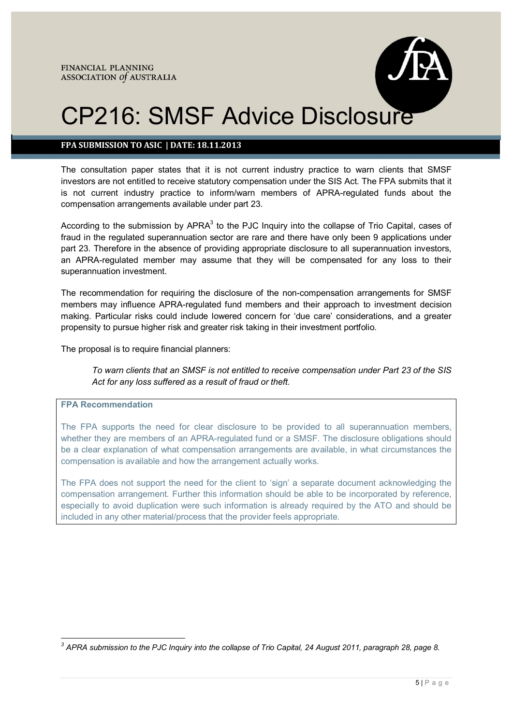

## **FPA SUBMISSION TO ASIC | DATE: 18.11.2013**

The consultation paper states that it is not current industry practice to warn clients that SMSF investors are not entitled to receive statutory compensation under the SIS Act. The FPA submits that it is not current industry practice to inform/warn members of APRA-regulated funds about the compensation arrangements available under part 23.

According to the submission by APRA $3$  to the PJC Inquiry into the collapse of Trio Capital, cases of fraud in the regulated superannuation sector are rare and there have only been 9 applications under part 23. Therefore in the absence of providing appropriate disclosure to all superannuation investors, an APRA-regulated member may assume that they will be compensated for any loss to their superannuation investment.

The recommendation for requiring the disclosure of the non-compensation arrangements for SMSF members may influence APRA-regulated fund members and their approach to investment decision making. Particular risks could include lowered concern for 'due care' considerations, and a greater propensity to pursue higher risk and greater risk taking in their investment portfolio.

The proposal is to require financial planners:

*To warn clients that an SMSF is not entitled to receive compensation under Part 23 of the SIS Act for any loss suffered as a result of fraud or theft.* 

### **FPA Recommendation**

The FPA supports the need for clear disclosure to be provided to all superannuation members, whether they are members of an APRA-regulated fund or a SMSF. The disclosure obligations should be a clear explanation of what compensation arrangements are available, in what circumstances the compensation is available and how the arrangement actually works.

The FPA does not support the need for the client to 'sign' a separate document acknowledging the compensation arrangement. Further this information should be able to be incorporated by reference, especially to avoid duplication were such information is already required by the ATO and should be included in any other material/process that the provider feels appropriate.

 *3 APRA submission to the PJC Inquiry into the collapse of Trio Capital, 24 August 2011, paragraph 28, page 8.*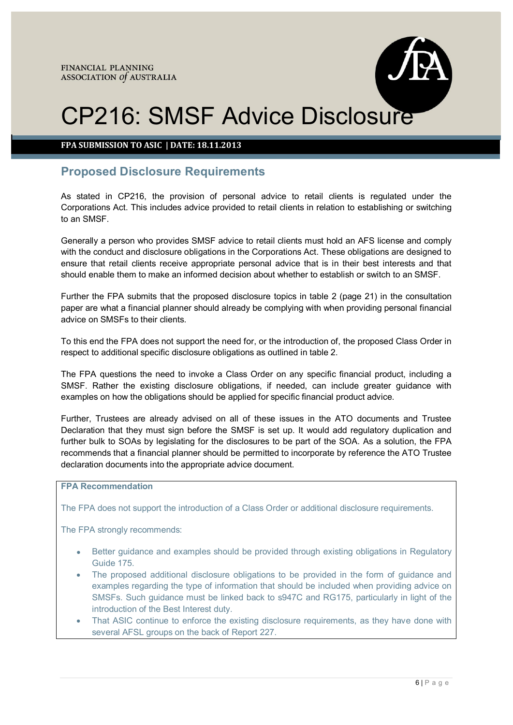

**FPA SUBMISSION TO ASIC | DATE: 18.11.2013**

## **Proposed Disclosure Requirements**

As stated in CP216, the provision of personal advice to retail clients is regulated under the Corporations Act. This includes advice provided to retail clients in relation to establishing or switching to an SMSF.

Generally a person who provides SMSF advice to retail clients must hold an AFS license and comply with the conduct and disclosure obligations in the Corporations Act. These obligations are designed to ensure that retail clients receive appropriate personal advice that is in their best interests and that should enable them to make an informed decision about whether to establish or switch to an SMSF.

Further the FPA submits that the proposed disclosure topics in table 2 (page 21) in the consultation paper are what a financial planner should already be complying with when providing personal financial advice on SMSFs to their clients.

To this end the FPA does not support the need for, or the introduction of, the proposed Class Order in respect to additional specific disclosure obligations as outlined in table 2.

The FPA questions the need to invoke a Class Order on any specific financial product, including a SMSF. Rather the existing disclosure obligations, if needed, can include greater guidance with examples on how the obligations should be applied for specific financial product advice.

Further, Trustees are already advised on all of these issues in the ATO documents and Trustee Declaration that they must sign before the SMSF is set up. It would add regulatory duplication and further bulk to SOAs by legislating for the disclosures to be part of the SOA. As a solution, the FPA recommends that a financial planner should be permitted to incorporate by reference the ATO Trustee declaration documents into the appropriate advice document.

**FPA Recommendation**

The FPA does not support the introduction of a Class Order or additional disclosure requirements.

The FPA strongly recommends:

- Better guidance and examples should be provided through existing obligations in Regulatory Guide 175.
- The proposed additional disclosure obligations to be provided in the form of quidance and examples regarding the type of information that should be included when providing advice on SMSFs. Such guidance must be linked back to s947C and RG175, particularly in light of the introduction of the Best Interest duty.
- That ASIC continue to enforce the existing disclosure requirements, as they have done with several AFSL groups on the back of Report 227.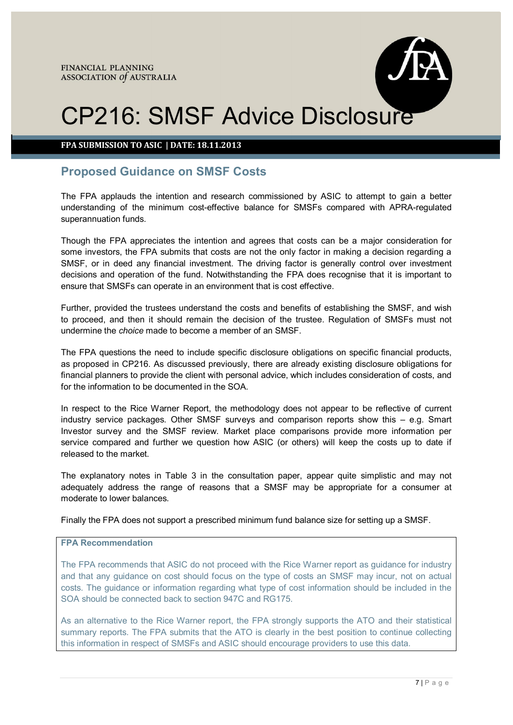

**FPA SUBMISSION TO ASIC | DATE: 18.11.2013**

## **Proposed Guidance on SMSF Costs**

The FPA applauds the intention and research commissioned by ASIC to attempt to gain a better understanding of the minimum cost-effective balance for SMSFs compared with APRA-regulated superannuation funds.

Though the FPA appreciates the intention and agrees that costs can be a major consideration for some investors, the FPA submits that costs are not the only factor in making a decision regarding a SMSF, or in deed any financial investment. The driving factor is generally control over investment decisions and operation of the fund. Notwithstanding the FPA does recognise that it is important to ensure that SMSFs can operate in an environment that is cost effective.

Further, provided the trustees understand the costs and benefits of establishing the SMSF, and wish to proceed, and then it should remain the decision of the trustee. Regulation of SMSFs must not undermine the *choice* made to become a member of an SMSF.

The FPA questions the need to include specific disclosure obligations on specific financial products, as proposed in CP216. As discussed previously, there are already existing disclosure obligations for financial planners to provide the client with personal advice, which includes consideration of costs, and for the information to be documented in the SOA.

In respect to the Rice Warner Report, the methodology does not appear to be reflective of current industry service packages. Other SMSF surveys and comparison reports show this – e.g. Smart Investor survey and the SMSF review. Market place comparisons provide more information per service compared and further we question how ASIC (or others) will keep the costs up to date if released to the market.

The explanatory notes in Table 3 in the consultation paper, appear quite simplistic and may not adequately address the range of reasons that a SMSF may be appropriate for a consumer at moderate to lower balances.

Finally the FPA does not support a prescribed minimum fund balance size for setting up a SMSF.

### **FPA Recommendation**

The FPA recommends that ASIC do not proceed with the Rice Warner report as guidance for industry and that any guidance on cost should focus on the type of costs an SMSF may incur, not on actual costs. The guidance or information regarding what type of cost information should be included in the SOA should be connected back to section 947C and RG175.

As an alternative to the Rice Warner report, the FPA strongly supports the ATO and their statistical summary reports. The FPA submits that the ATO is clearly in the best position to continue collecting this information in respect of SMSFs and ASIC should encourage providers to use this data.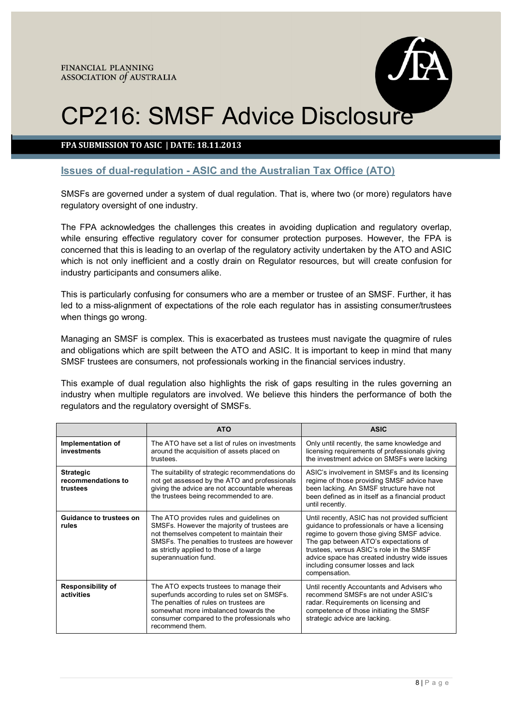

**FPA SUBMISSION TO ASIC | DATE: 18.11.2013**

## **Issues of dual-regulation - ASIC and the Australian Tax Office (ATO)**

SMSFs are governed under a system of dual regulation. That is, where two (or more) regulators have regulatory oversight of one industry.

The FPA acknowledges the challenges this creates in avoiding duplication and regulatory overlap, while ensuring effective regulatory cover for consumer protection purposes. However, the FPA is concerned that this is leading to an overlap of the regulatory activity undertaken by the ATO and ASIC which is not only inefficient and a costly drain on Regulator resources, but will create confusion for industry participants and consumers alike.

This is particularly confusing for consumers who are a member or trustee of an SMSF. Further, it has led to a miss-alignment of expectations of the role each regulator has in assisting consumer/trustees when things go wrong.

Managing an SMSF is complex. This is exacerbated as trustees must navigate the quagmire of rules and obligations which are spilt between the ATO and ASIC. It is important to keep in mind that many SMSF trustees are consumers, not professionals working in the financial services industry.

This example of dual regulation also highlights the risk of gaps resulting in the rules governing an industry when multiple regulators are involved. We believe this hinders the performance of both the regulators and the regulatory oversight of SMSFs.

|                                                    | <b>ATO</b>                                                                                                                                                                                                                                               | <b>ASIC</b>                                                                                                                                                                                                                                                                                                                                  |
|----------------------------------------------------|----------------------------------------------------------------------------------------------------------------------------------------------------------------------------------------------------------------------------------------------------------|----------------------------------------------------------------------------------------------------------------------------------------------------------------------------------------------------------------------------------------------------------------------------------------------------------------------------------------------|
| Implementation of<br>investments                   | The ATO have set a list of rules on investments<br>around the acquisition of assets placed on<br>trustees.                                                                                                                                               | Only until recently, the same knowledge and<br>licensing requirements of professionals giving<br>the investment advice on SMSFs were lacking                                                                                                                                                                                                 |
| <b>Strategic</b><br>recommendations to<br>trustees | The suitability of strategic recommendations do<br>not get assessed by the ATO and professionals<br>giving the advice are not accountable whereas<br>the trustees being recommended to are.                                                              | ASIC's involvement in SMSFs and its licensing<br>regime of those providing SMSF advice have<br>been lacking. An SMSF structure have not<br>been defined as in itself as a financial product<br>until recently.                                                                                                                               |
| Guidance to trustees on<br>rules                   | The ATO provides rules and guidelines on<br>SMSFs. However the majority of trustees are<br>not themselves competent to maintain their<br>SMSFs. The penalties to trustees are however<br>as strictly applied to those of a large<br>superannuation fund. | Until recently, ASIC has not provided sufficient<br>guidance to professionals or have a licensing<br>regime to govern those giving SMSF advice.<br>The gap between ATO's expectations of<br>trustees, versus ASIC's role in the SMSF<br>advice space has created industry wide issues<br>including consumer losses and lack<br>compensation. |
| <b>Responsibility of</b><br>activities             | The ATO expects trustees to manage their<br>superfunds according to rules set on SMSFs.<br>The penalties of rules on trustees are<br>somewhat more imbalanced towards the<br>consumer compared to the professionals who<br>recommend them.               | Until recently Accountants and Advisers who<br>recommend SMSFs are not under ASIC's<br>radar. Requirements on licensing and<br>competence of those initiating the SMSF<br>strategic advice are lacking.                                                                                                                                      |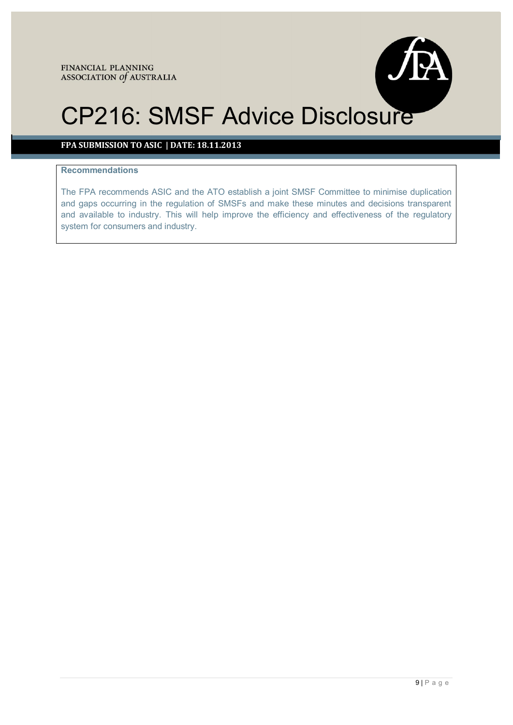

## FINANCIAL PLANNING<br>ASSOCIATION *of* AUSTRALIA<br>CP216: SMSF Advice Disclosure

**FPA SUBMISSION TO ASIC | DATE: 18.11.2013**

### **Recommendations**

The FPA recommends ASIC and the ATO establish a joint SMSF Committee to minimise duplication and gaps occurring in the regulation of SMSFs and make these minutes and decisions transparent and available to industry. This will help improve the efficiency and effectiveness of the regulatory system for consumers and industry.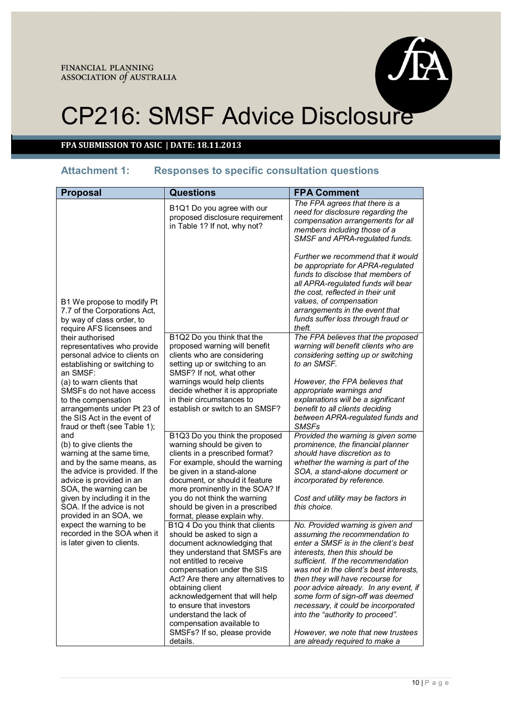

# FINANCIAL PLANNING<br>ASSOCIATION of AUSTRALIA<br>CP216: SMSF Advice Disclosure

## **FPA SUBMISSION TO ASIC | DATE: 18.11.2013**

## **Attachment 1: Responses to specific consultation questions**

| <b>Proposal</b>                                                                                                                                                                                                                                                                                                                                                                                                                                                                                                                                             | <b>Questions</b>                                                                                                                                                                                                                                                                                                                                                                                      | <b>FPA Comment</b>                                                                                                                                                                                                                                                                                                                                                                                                                                              |
|-------------------------------------------------------------------------------------------------------------------------------------------------------------------------------------------------------------------------------------------------------------------------------------------------------------------------------------------------------------------------------------------------------------------------------------------------------------------------------------------------------------------------------------------------------------|-------------------------------------------------------------------------------------------------------------------------------------------------------------------------------------------------------------------------------------------------------------------------------------------------------------------------------------------------------------------------------------------------------|-----------------------------------------------------------------------------------------------------------------------------------------------------------------------------------------------------------------------------------------------------------------------------------------------------------------------------------------------------------------------------------------------------------------------------------------------------------------|
|                                                                                                                                                                                                                                                                                                                                                                                                                                                                                                                                                             | B1Q1 Do you agree with our<br>proposed disclosure requirement<br>in Table 1? If not, why not?                                                                                                                                                                                                                                                                                                         | The FPA agrees that there is a<br>need for disclosure regarding the<br>compensation arrangements for all<br>members including those of a<br>SMSF and APRA-regulated funds.                                                                                                                                                                                                                                                                                      |
| B1 We propose to modify Pt<br>7.7 of the Corporations Act,<br>by way of class order, to                                                                                                                                                                                                                                                                                                                                                                                                                                                                     |                                                                                                                                                                                                                                                                                                                                                                                                       | Further we recommend that it would<br>be appropriate for APRA-regulated<br>funds to disclose that members of<br>all APRA-regulated funds will bear<br>the cost, reflected in their unit<br>values, of compensation<br>arrangements in the event that<br>funds suffer loss through fraud or<br>theft.                                                                                                                                                            |
| require AFS licensees and<br>their authorised<br>representatives who provide<br>personal advice to clients on<br>establishing or switching to                                                                                                                                                                                                                                                                                                                                                                                                               | B1Q2 Do you think that the<br>proposed warning will benefit<br>clients who are considering<br>setting up or switching to an<br>SMSF? If not, what other                                                                                                                                                                                                                                               | The FPA believes that the proposed<br>warning will benefit clients who are<br>considering setting up or switching<br>to an SMSF.                                                                                                                                                                                                                                                                                                                                |
| an SMSF:<br>(a) to warn clients that<br>SMSFs do not have access<br>to the compensation<br>arrangements under Pt 23 of<br>the SIS Act in the event of<br>fraud or theft (see Table 1);<br>and<br>(b) to give clients the<br>warning at the same time,<br>and by the same means, as<br>the advice is provided. If the<br>advice is provided in an<br>SOA, the warning can be<br>given by including it in the<br>SOA. If the advice is not<br>provided in an SOA, we<br>expect the warning to be<br>recorded in the SOA when it<br>is later given to clients. | warnings would help clients<br>decide whether it is appropriate<br>in their circumstances to<br>establish or switch to an SMSF?                                                                                                                                                                                                                                                                       | However, the FPA believes that<br>appropriate warnings and<br>explanations will be a significant<br>benefit to all clients deciding<br>between APRA-regulated funds and<br><b>SMSFs</b>                                                                                                                                                                                                                                                                         |
|                                                                                                                                                                                                                                                                                                                                                                                                                                                                                                                                                             | B1Q3 Do you think the proposed<br>warning should be given to<br>clients in a prescribed format?<br>For example, should the warning<br>be given in a stand-alone<br>document, or should it feature<br>more prominently in the SOA? If                                                                                                                                                                  | Provided the warning is given some<br>prominence, the financial planner<br>should have discretion as to<br>whether the warning is part of the<br>SOA, a stand-alone document or<br>incorporated by reference.                                                                                                                                                                                                                                                   |
|                                                                                                                                                                                                                                                                                                                                                                                                                                                                                                                                                             | you do not think the warning<br>should be given in a prescribed<br>format, please explain why.                                                                                                                                                                                                                                                                                                        | Cost and utility may be factors in<br>this choice.                                                                                                                                                                                                                                                                                                                                                                                                              |
|                                                                                                                                                                                                                                                                                                                                                                                                                                                                                                                                                             | B1Q 4 Do you think that clients<br>should be asked to sign a<br>document acknowledging that<br>they understand that SMSFs are<br>not entitled to receive<br>compensation under the SIS<br>Act? Are there any alternatives to<br>obtaining client<br>acknowledgement that will help<br>to ensure that investors<br>understand the lack of<br>compensation available to<br>SMSFs? If so, please provide | No. Provided warning is given and<br>assuming the recommendation to<br>enter a SMSF is in the client's best<br>interests, then this should be<br>sufficient. If the recommendation<br>was not in the client's best interests.<br>then they will have recourse for<br>poor advice already. In any event, if<br>some form of sign-off was deemed<br>necessary, it could be incorporated<br>into the "authority to proceed".<br>However, we note that new trustees |
|                                                                                                                                                                                                                                                                                                                                                                                                                                                                                                                                                             | details.                                                                                                                                                                                                                                                                                                                                                                                              | are already required to make a                                                                                                                                                                                                                                                                                                                                                                                                                                  |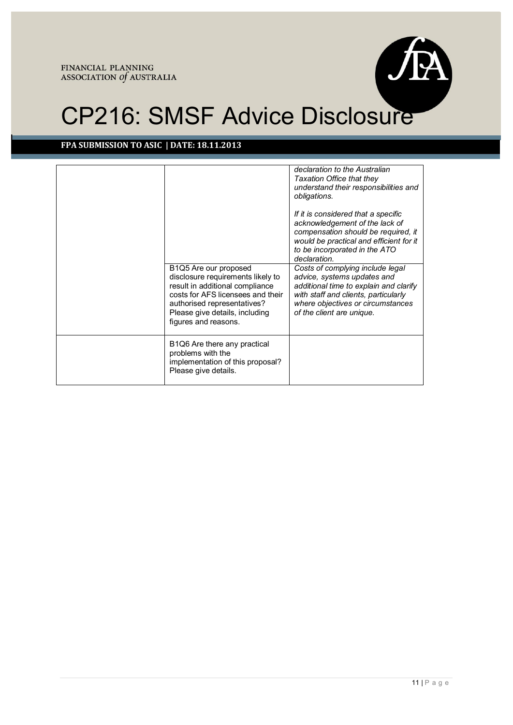

## EINANCIAL PLANNING<br>ASSOCIATION Of AUSTRALIA<br>CP216: SMSF Advice Disclosure

| B <sub>1</sub> Q <sub>5</sub> Are our proposed<br>disclosure requirements likely to<br>result in additional compliance<br>costs for AFS licensees and their<br>authorised representatives?<br>Please give details, including<br>figures and reasons. | declaration to the Australian<br>Taxation Office that they<br>understand their responsibilities and<br>obligations.<br>If it is considered that a specific<br>acknowledgement of the lack of<br>compensation should be required, it<br>would be practical and efficient for it<br>to be incorporated in the ATO<br>declaration.<br>Costs of complying include legal<br>advice, systems updates and<br>additional time to explain and clarify<br>with staff and clients, particularly<br>where objectives or circumstances<br>of the client are unique. |
|------------------------------------------------------------------------------------------------------------------------------------------------------------------------------------------------------------------------------------------------------|--------------------------------------------------------------------------------------------------------------------------------------------------------------------------------------------------------------------------------------------------------------------------------------------------------------------------------------------------------------------------------------------------------------------------------------------------------------------------------------------------------------------------------------------------------|
| B <sub>1</sub> Q <sub>6</sub> Are there any practical<br>problems with the<br>implementation of this proposal?<br>Please give details.                                                                                                               |                                                                                                                                                                                                                                                                                                                                                                                                                                                                                                                                                        |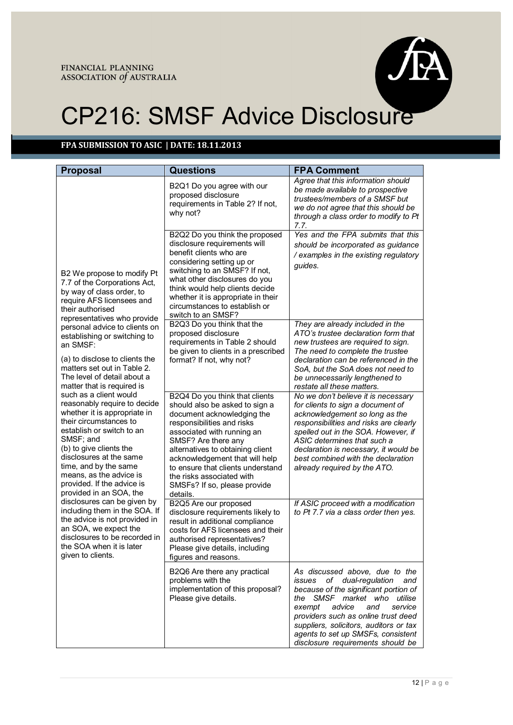

## EINANCIAL PLANNING<br>ASSOCIATION Of AUSTRALIA<br>CP216: SMSF Advice Disclosure

| <b>Proposal</b>                                                                                                                                                                                                                                                                                                                                                                                                                                                                                                                                                                                                                                                                                                                                                                                                                                                                                                                 | <b>Questions</b>                                                                                                                                                                                                                                                                                                                                                      | <b>FPA Comment</b>                                                                                                                                                                                                                                                                                                                                 |
|---------------------------------------------------------------------------------------------------------------------------------------------------------------------------------------------------------------------------------------------------------------------------------------------------------------------------------------------------------------------------------------------------------------------------------------------------------------------------------------------------------------------------------------------------------------------------------------------------------------------------------------------------------------------------------------------------------------------------------------------------------------------------------------------------------------------------------------------------------------------------------------------------------------------------------|-----------------------------------------------------------------------------------------------------------------------------------------------------------------------------------------------------------------------------------------------------------------------------------------------------------------------------------------------------------------------|----------------------------------------------------------------------------------------------------------------------------------------------------------------------------------------------------------------------------------------------------------------------------------------------------------------------------------------------------|
|                                                                                                                                                                                                                                                                                                                                                                                                                                                                                                                                                                                                                                                                                                                                                                                                                                                                                                                                 | B2Q1 Do you agree with our<br>proposed disclosure<br>requirements in Table 2? If not,<br>why not?                                                                                                                                                                                                                                                                     | Agree that this information should<br>be made available to prospective<br>trustees/members of a SMSF but<br>we do not agree that this should be<br>through a class order to modify to Pt<br>7.7.                                                                                                                                                   |
| B2 We propose to modify Pt<br>7.7 of the Corporations Act,<br>by way of class order, to<br>require AFS licensees and<br>their authorised<br>representatives who provide<br>personal advice to clients on<br>establishing or switching to<br>an SMSF:<br>(a) to disclose to clients the<br>matters set out in Table 2.<br>The level of detail about a<br>matter that is required is<br>such as a client would<br>reasonably require to decide<br>whether it is appropriate in<br>their circumstances to<br>establish or switch to an<br>SMSF; and<br>(b) to give clients the<br>disclosures at the same<br>time, and by the same<br>means, as the advice is<br>provided. If the advice is<br>provided in an SOA, the<br>disclosures can be given by<br>including them in the SOA. If<br>the advice is not provided in<br>an SOA, we expect the<br>disclosures to be recorded in<br>the SOA when it is later<br>given to clients. | B2Q2 Do you think the proposed<br>disclosure requirements will<br>benefit clients who are<br>considering setting up or<br>switching to an SMSF? If not,<br>what other disclosures do you<br>think would help clients decide<br>whether it is appropriate in their<br>circumstances to establish or<br>switch to an SMSF?                                              | Yes and the FPA submits that this<br>should be incorporated as guidance<br>/ examples in the existing regulatory<br>guides.                                                                                                                                                                                                                        |
|                                                                                                                                                                                                                                                                                                                                                                                                                                                                                                                                                                                                                                                                                                                                                                                                                                                                                                                                 | B2Q3 Do you think that the<br>proposed disclosure<br>requirements in Table 2 should<br>be given to clients in a prescribed<br>format? If not, why not?                                                                                                                                                                                                                | They are already included in the<br>ATO's trustee declaration form that<br>new trustees are required to sign.<br>The need to complete the trustee<br>declaration can be referenced in the<br>SoA, but the SoA does not need to<br>be unnecessarily lengthened to<br>restate all these matters.                                                     |
|                                                                                                                                                                                                                                                                                                                                                                                                                                                                                                                                                                                                                                                                                                                                                                                                                                                                                                                                 | B2Q4 Do you think that clients<br>should also be asked to sign a<br>document acknowledging the<br>responsibilities and risks<br>associated with running an<br>SMSF? Are there any<br>alternatives to obtaining client<br>acknowledgement that will help<br>to ensure that clients understand<br>the risks associated with<br>SMSFs? If so, please provide<br>details. | No we don't believe it is necessary<br>for clients to sign a document of<br>acknowledgement so long as the<br>responsibilities and risks are clearly<br>spelled out in the SOA. However, if<br>ASIC determines that such a<br>declaration is necessary, it would be<br>best combined with the declaration<br>already required by the ATO.          |
|                                                                                                                                                                                                                                                                                                                                                                                                                                                                                                                                                                                                                                                                                                                                                                                                                                                                                                                                 | B2Q5 Are our proposed<br>disclosure requirements likely to<br>result in additional compliance<br>costs for AFS licensees and their<br>authorised representatives?<br>Please give details, including<br>figures and reasons.                                                                                                                                           | If ASIC proceed with a modification<br>to Pt 7.7 via a class order then yes.                                                                                                                                                                                                                                                                       |
|                                                                                                                                                                                                                                                                                                                                                                                                                                                                                                                                                                                                                                                                                                                                                                                                                                                                                                                                 | B2Q6 Are there any practical<br>problems with the<br>implementation of this proposal?<br>Please give details.                                                                                                                                                                                                                                                         | As discussed above, due to the<br>of dual-regulation<br>issues<br>and<br>because of the significant portion of<br>SMSF market who utilise<br>the<br>exempt<br>advice<br>and<br>service<br>providers such as online trust deed<br>suppliers, solicitors, auditors or tax<br>agents to set up SMSFs, consistent<br>disclosure requirements should be |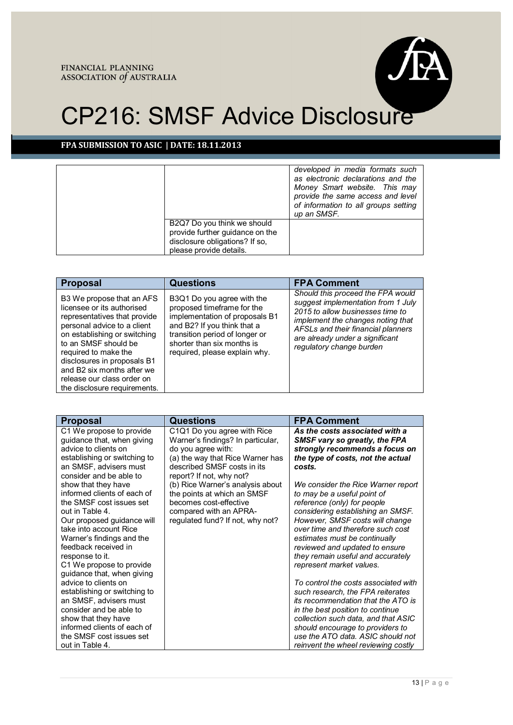

# FINANCIAL PLANNING<br>ASSOCIATION of AUSTRALIA<br>CP216: SMSF Advice Disclosure

|                                                                                                                             | developed in media formats such<br>as electronic declarations and the<br>Money Smart website. This may<br>provide the same access and level<br>of information to all groups setting<br>up an SMSF. |
|-----------------------------------------------------------------------------------------------------------------------------|----------------------------------------------------------------------------------------------------------------------------------------------------------------------------------------------------|
| B2Q7 Do you think we should<br>provide further guidance on the<br>disclosure obligations? If so,<br>please provide details. |                                                                                                                                                                                                    |

| <b>Proposal</b>                                                                                                                                                                                                                                                                                                                   | <b>Questions</b>                                                                                                                                                                                                           | <b>FPA Comment</b>                                                                                                                                                                                                                                    |
|-----------------------------------------------------------------------------------------------------------------------------------------------------------------------------------------------------------------------------------------------------------------------------------------------------------------------------------|----------------------------------------------------------------------------------------------------------------------------------------------------------------------------------------------------------------------------|-------------------------------------------------------------------------------------------------------------------------------------------------------------------------------------------------------------------------------------------------------|
| B3 We propose that an AFS<br>licensee or its authorised<br>representatives that provide<br>personal advice to a client<br>on establishing or switching<br>to an SMSF should be<br>required to make the<br>disclosures in proposals B1<br>and B2 six months after we<br>release our class order on<br>the disclosure requirements. | B3Q1 Do you agree with the<br>proposed timeframe for the<br>implementation of proposals B1<br>and B2? If you think that a<br>transition period of longer or<br>shorter than six months is<br>required, please explain why. | Should this proceed the FPA would<br>suggest implementation from 1 July<br>2015 to allow businesses time to<br>implement the changes noting that<br>AFSLs and their financial planners<br>are already under a significant<br>regulatory change burden |

| <b>Proposal</b>                                                                                                                                                                                                                                               | Questions                                                                                                                                                                             | <b>FPA Comment</b>                                                                                                                                                                                                                                                                                                                                |
|---------------------------------------------------------------------------------------------------------------------------------------------------------------------------------------------------------------------------------------------------------------|---------------------------------------------------------------------------------------------------------------------------------------------------------------------------------------|---------------------------------------------------------------------------------------------------------------------------------------------------------------------------------------------------------------------------------------------------------------------------------------------------------------------------------------------------|
| C1 We propose to provide<br>guidance that, when giving<br>advice to clients on<br>establishing or switching to<br>an SMSF, advisers must<br>consider and be able to                                                                                           | C1Q1 Do you agree with Rice<br>Warner's findings? In particular,<br>do you agree with:<br>(a) the way that Rice Warner has<br>described SMSF costs in its<br>report? If not, why not? | As the costs associated with a<br><b>SMSF vary so greatly, the FPA</b><br>strongly recommends a focus on<br>the type of costs, not the actual<br>costs.                                                                                                                                                                                           |
| show that they have<br>informed clients of each of<br>the SMSF cost issues set<br>out in Table 4.<br>Our proposed guidance will<br>take into account Rice<br>Warner's findings and the<br>feedback received in<br>response to it.<br>C1 We propose to provide | (b) Rice Warner's analysis about<br>the points at which an SMSF<br>becomes cost-effective<br>compared with an APRA-<br>regulated fund? If not, why not?                               | We consider the Rice Warner report<br>to may be a useful point of<br>reference (only) for people<br>considering establishing an SMSF.<br>However, SMSF costs will change<br>over time and therefore such cost<br>estimates must be continually<br>reviewed and updated to ensure<br>they remain useful and accurately<br>represent market values. |
| guidance that, when giving<br>advice to clients on<br>establishing or switching to<br>an SMSF, advisers must<br>consider and be able to<br>show that they have<br>informed clients of each of<br>the SMSF cost issues set<br>out in Table 4.                  |                                                                                                                                                                                       | To control the costs associated with<br>such research, the FPA reiterates<br>its recommendation that the ATO is<br>in the best position to continue<br>collection such data, and that ASIC<br>should encourage to providers to<br>use the ATO data. ASIC should not<br>reinvent the wheel reviewing costly                                        |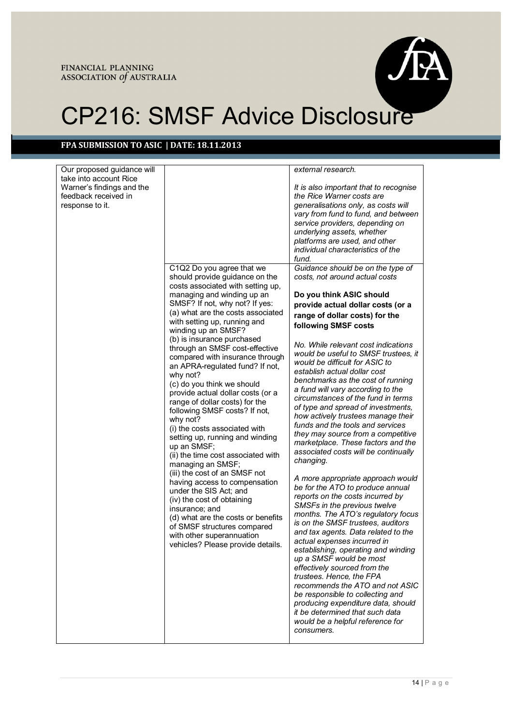

## FINANCIAL PLANNING<br>ASSOCIATION Of AUSTRALIA<br>CP216: SMSF Advice Disclosure

| Our proposed guidance will |                                              | external research.                                                         |
|----------------------------|----------------------------------------------|----------------------------------------------------------------------------|
| take into account Rice     |                                              |                                                                            |
| Warner's findings and the  |                                              | It is also important that to recognise                                     |
| feedback received in       |                                              | the Rice Warner costs are                                                  |
| response to it.            |                                              | generalisations only, as costs will                                        |
|                            |                                              | vary from fund to fund, and between                                        |
|                            |                                              | service providers, depending on                                            |
|                            |                                              | underlying assets, whether                                                 |
|                            |                                              | platforms are used, and other<br>individual characteristics of the         |
|                            |                                              | fund.                                                                      |
|                            | C1Q2 Do you agree that we                    | Guidance should be on the type of                                          |
|                            | should provide guidance on the               | costs, not around actual costs                                             |
|                            | costs associated with setting up,            |                                                                            |
|                            | managing and winding up an                   | Do you think ASIC should                                                   |
|                            | SMSF? If not, why not? If yes:               | provide actual dollar costs (or a                                          |
|                            | (a) what are the costs associated            | range of dollar costs) for the                                             |
|                            | with setting up, running and                 | following SMSF costs                                                       |
|                            | winding up an SMSF?                          |                                                                            |
|                            | (b) is insurance purchased                   | No. While relevant cost indications                                        |
|                            | through an SMSF cost-effective               | would be useful to SMSF trustees, it                                       |
|                            | compared with insurance through              | would be difficult for ASIC to                                             |
|                            | an APRA-regulated fund? If not,              | establish actual dollar cost                                               |
|                            | why not?<br>(c) do you think we should       | benchmarks as the cost of running                                          |
|                            | provide actual dollar costs (or a            | a fund will vary according to the                                          |
|                            | range of dollar costs) for the               | circumstances of the fund in terms                                         |
|                            | following SMSF costs? If not,                | of type and spread of investments,                                         |
|                            | why not?                                     | how actively trustees manage their                                         |
|                            | (i) the costs associated with                | funds and the tools and services                                           |
|                            | setting up, running and winding              | they may source from a competitive                                         |
|                            | up an SMSF;                                  | marketplace. These factors and the<br>associated costs will be continually |
|                            | (ii) the time cost associated with           | changing.                                                                  |
|                            | managing an SMSF;                            |                                                                            |
|                            | (iii) the cost of an SMSF not                | A more appropriate approach would                                          |
|                            | having access to compensation                | be for the ATO to produce annual                                           |
|                            | under the SIS Act; and                       | reports on the costs incurred by                                           |
|                            | (iv) the cost of obtaining<br>insurance; and | SMSFs in the previous twelve                                               |
|                            | (d) what are the costs or benefits           | months. The ATO's regulatory focus                                         |
|                            | of SMSF structures compared                  | is on the SMSF trustees, auditors                                          |
|                            | with other superannuation                    | and tax agents. Data related to the                                        |
|                            | vehicles? Please provide details.            | actual expenses incurred in                                                |
|                            |                                              | establishing, operating and winding                                        |
|                            |                                              | up a SMSF would be most                                                    |
|                            |                                              | effectively sourced from the                                               |
|                            |                                              | trustees. Hence, the FPA<br>recommends the ATO and not ASIC                |
|                            |                                              | be responsible to collecting and                                           |
|                            |                                              | producing expenditure data, should                                         |
|                            |                                              | it be determined that such data                                            |
|                            |                                              | would be a helpful reference for                                           |
|                            |                                              | consumers.                                                                 |
|                            |                                              |                                                                            |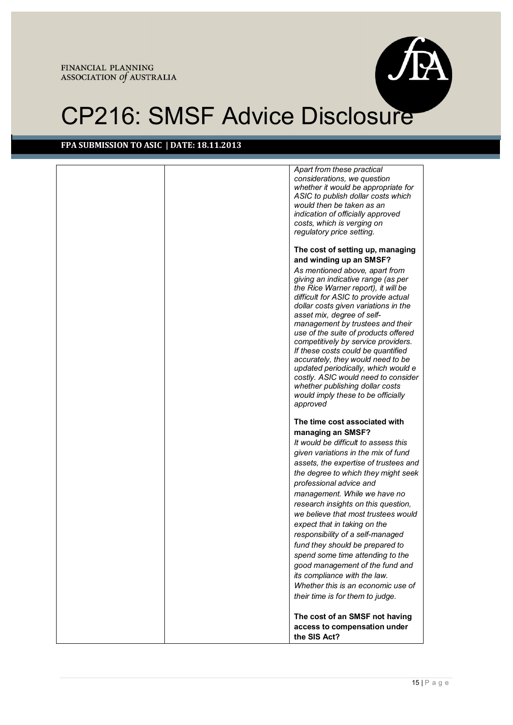

## EINANCIAL PLANNING<br>ASSOCIATION OF AUSTRALIA<br>CP216: SMSF Advice Disclosure

|  | Apart from these practical<br>considerations, we question<br>whether it would be appropriate for<br>ASIC to publish dollar costs which<br>would then be taken as an<br>indication of officially approved<br>costs, which is verging on<br>regulatory price setting.                                                                                                                                                                                                                                                                                                                                                                                       |
|--|-----------------------------------------------------------------------------------------------------------------------------------------------------------------------------------------------------------------------------------------------------------------------------------------------------------------------------------------------------------------------------------------------------------------------------------------------------------------------------------------------------------------------------------------------------------------------------------------------------------------------------------------------------------|
|  | The cost of setting up, managing<br>and winding up an SMSF?<br>As mentioned above, apart from<br>giving an indicative range (as per<br>the Rice Warner report), it will be<br>difficult for ASIC to provide actual<br>dollar costs given variations in the<br>asset mix, degree of self-<br>management by trustees and their<br>use of the suite of products offered<br>competitively by service providers.<br>If these costs could be quantified<br>accurately, they would need to be<br>updated periodically, which would e<br>costly. ASIC would need to consider<br>whether publishing dollar costs<br>would imply these to be officially<br>approved |
|  | The time cost associated with<br>managing an SMSF?<br>It would be difficult to assess this<br>given variations in the mix of fund<br>assets, the expertise of trustees and<br>the degree to which they might seek<br>professional advice and<br>management. While we have no<br>research insights on this question,<br>we believe that most trustees would<br>expect that in taking on the<br>responsibility of a self-managed<br>fund they should be prepared to<br>spend some time attending to the<br>good management of the fund and<br>its compliance with the law.<br>Whether this is an economic use of<br>their time is for them to judge.        |
|  | The cost of an SMSF not having<br>access to compensation under<br>the SIS Act?                                                                                                                                                                                                                                                                                                                                                                                                                                                                                                                                                                            |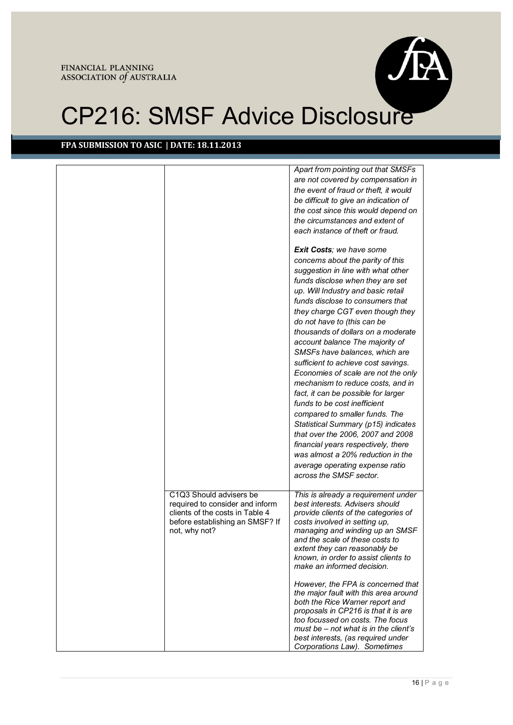

## EINANCIAL PLANNING<br>ASSOCIATION OF AUSTRALIA<br>CP216: SMSF Advice Disclosure

|                                                                                                                                                   | Apart from pointing out that SMSFs<br>are not covered by compensation in<br>the event of fraud or theft, it would<br>be difficult to give an indication of<br>the cost since this would depend on<br>the circumstances and extent of<br>each instance of theft or fraud.<br>Exit Costs; we have some<br>concerns about the parity of this<br>suggestion in line with what other<br>funds disclose when they are set                                                                                                                                                                                                                                                                                    |
|---------------------------------------------------------------------------------------------------------------------------------------------------|--------------------------------------------------------------------------------------------------------------------------------------------------------------------------------------------------------------------------------------------------------------------------------------------------------------------------------------------------------------------------------------------------------------------------------------------------------------------------------------------------------------------------------------------------------------------------------------------------------------------------------------------------------------------------------------------------------|
|                                                                                                                                                   | up. Will Industry and basic retail<br>funds disclose to consumers that<br>they charge CGT even though they<br>do not have to (this can be<br>thousands of dollars on a moderate<br>account balance The majority of<br>SMSFs have balances, which are<br>sufficient to achieve cost savings.<br>Economies of scale are not the only<br>mechanism to reduce costs, and in<br>fact, it can be possible for larger<br>funds to be cost inefficient<br>compared to smaller funds. The<br>Statistical Summary (p15) indicates<br>that over the 2006, 2007 and 2008<br>financial years respectively, there<br>was almost a 20% reduction in the<br>average operating expense ratio<br>across the SMSF sector. |
| C1Q3 Should advisers be<br>required to consider and inform<br>clients of the costs in Table 4<br>before establishing an SMSF? If<br>not, why not? | This is already a requirement under<br>best interests. Advisers should<br>provide clients of the categories of<br>costs involved in setting up,<br>managing and winding up an SMSF<br>and the scale of these costs to<br>extent they can reasonably be<br>known, in order to assist clients to<br>make an informed decision.<br>However, the FPA is concerned that                                                                                                                                                                                                                                                                                                                                     |
|                                                                                                                                                   | the major fault with this area around<br>both the Rice Warner report and<br>proposals in CP216 is that it is are<br>too focussed on costs. The focus<br>must be $-$ not what is in the client's<br>best interests, (as required under<br>Corporations Law). Sometimes                                                                                                                                                                                                                                                                                                                                                                                                                                  |